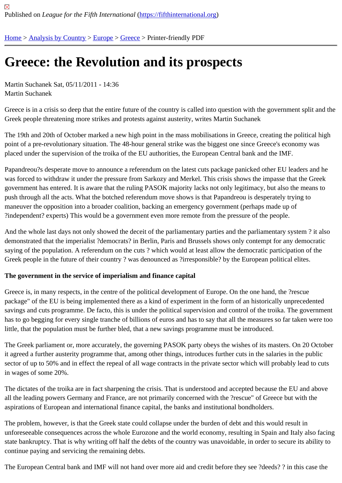# [Gre](https://fifthinternational.org/)[ece: the R](https://fifthinternational.org/category/1)[evol](https://fifthinternational.org/category/1/128)[ution](https://fifthinternational.org/category/1/128/147) and its prospects

Martin Suchanek Sat, 05/11/2011 - 14:36 Martin Suchanek

Greece is in a crisis so deep that the entire future of the country is called into question with the government split and the Greek people threatening more strikes and protests against austerity, writes Martin Suchanek

The 19th and 20th of October marked a new high point in the mass mobilisations in Greece, creating the political h point of a pre-revolutionary situation. The 48-hour general strike was the biggest one since Greece's economy was placed under the supervision of the troika of the EU authorities, the European Central bank and the IMF.

Papandreou?s desperate move to announce a referendum on the latest cuts package panicked other EU leaders and h was forced to withdraw it under the pressure from Sarkozy and Merkel. This crisis shows the impasse that the Gre government has entered. It is aware that the ruling PASOK majority lacks not only legitimacy, but also the means t push through all the acts. What the botched referendum move shows is that Papandreou is desperately trying to maneuver the opposition into a broader coalition, backing an emergency government (perhaps made up of ?independent? experts) This would be a government even more remote from the pressure of the people.

And the whole last days not only showed the deceit of the parliamentary parties and the parliamentary system? it demonstrated that the imperialist ?democrats? in Berlin, Paris and Brussels shows only contempt for any democra saying of the population. A referendum on the cuts ? which would at least allow the democratic participation of the Greek people in the future of their country ? was denounced as ?irresponsible? by the European political elites.

The government in the service of imperialism and finance capital

Greece is, in many respects, in the centre of the political development of Europe. On the one hand, the ?rescue package" of the EU is being implemented there as a kind of experiment in the form of an historically unprecedente savings and cuts programme. De facto, this is under the political supervision and control of the troika. The governr has to go begging for every single tranche of billions of euros and has to say that all the measures so far taken we little, that the population must be further bled, that a new savings programme must be introduced.

The Greek parliament or, more accurately, the governing PASOK party obeys the wishes of its masters. On 20 Oc it agreed a further austerity programme that, among other things, introduces further cuts in the salaries in the publi sector of up to 50% and in effect the repeal of all wage contracts in the private sector which will probably lead to cu in wages of some 20%.

The dictates of the troika are in fact sharpening the crisis. That is understood and accepted because the EU and above all the leading powers Germany and France, are not primarily concerned with the ?rescue" of Greece but with the aspirations of European and international finance capital, the banks and institutional bondholders.

The problem, however, is that the Greek state could collapse under the burden of debt and this would result in unforeseeable consequences across the whole Eurozone and the world economy, resulting in Spain and Italy also state bankruptcy. That is why writing off half the debts of the country was unavoidable, in order to secure its ability continue paying and servicing the remaining debts.

The European Central bank and IMF will not hand over more aid and credit before they see ?deeds? ? in this case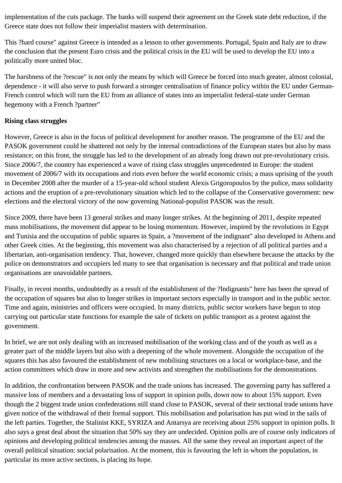implementation of the cuts package. The banks will suspend their agreement on the Greek state debt reduction, if the Greece state does not follow their imperialist masters with determination.

This ?hard course" against Greece is intended as a lesson to other governments. Portugal, Spain and Italy are to draw the conclusion that the present Euro crisis and the political crisis in the EU will be used to develop the EU into a politically more united bloc.

The harshness of the ?rescue" is not only the means by which will Greece be forced into much greater, almost colonial, dependence - it will also serve to push forward a stronger centralisation of finance policy within the EU under German-French control which will turn the EU from an alliance of states into an imperialist federal-state under German hegemony with a French ?partner"

### **Rising class struggles**

However, Greece is also in the focus of political development for another reason. The programme of the EU and the PASOK government could be shattered not only by the internal contradictions of the European states but also by mass resistance; on this front, the struggle has led to the development of an already long drawn out pre-revolutionary crisis. Since 2006/7, the country has experienced a wave of rising class struggles unprecedented in Europe: the student movement of 2006/7 with its occupations and riots even before the world economic crisis; a mass uprising of the youth in December 2008 after the murder of a 15-year-old school student Alexis Grigoropoulos by the police, mass solidarity actions and the eruption of a pre-revolutionary situation which led to the collapse of the Conservative government: new elections and the electoral victory of the now governing National-populist PASOK was the result.

Since 2009, there have been 13 general strikes and many longer strikes. At the beginning of 2011, despite repeated mass mobilisations, the movement did appear to be losing momentum. However, inspired by the revolutions in Egypt and Tunisia and the occupation of public squares in Spain, a ?movement of the indignant" also developed in Athens and other Greek cities. At the beginning, this movement was also characterised by a rejection of all political parties and a libertarian, anti-organisation tendency. That, however, changed more quickly than elsewhere because the attacks by the police on demonstrators and occupiers led many to see that organisation is necessary and that political and trade union organisations are unavoidable partners.

Finally, in recent months, undoubtedly as a result of the establishment of the ?Indignants" here has been the spread of the occupation of squares but also to longer strikes in important sectors especially in transport and in the public sector. Time and again, ministries and officers were occupied. In many districts, public sector workers have begun to stop carrying out particular state functions for example the sale of tickets on public transport as a protest against the government.

In brief, we are not only dealing with an increased mobilisation of the working class and of the youth as well as a greater part of the middle layers but also with a deepening of the whole movement. Alongside the occupation of the squares this has also favoured the establishment of new mobilising structures on a local or workplace-base, and the action committees which draw in more and new activists and strengthen the mobilisations for the demonstrations.

In addition, the confrontation between PASOK and the trade unions has increased. The governing party has suffered a massive loss of members and a devastating loss of support in opinion polls, down now to about 15% support. Even though the 2 biggest trade union confederations still stand close to PASOK, several of their sectional trade unions have given notice of the withdrawal of their formal support. This mobilisation and polarisation has put wind in the sails of the left parties. Together, the Stalinist KKE, SYRIZA and Antarsya are receiving about 25% support in opinion polls. It also says a great deal about the situation that 50% say they are undecided. Opinion polls are of course only indicators of opinions and developing political tendencies among the masses. All the same they reveal an important aspect of the overall political situation: social polarisation. At the moment, this is favouring the left in whom the population, in particular its more active sections, is placing its hope.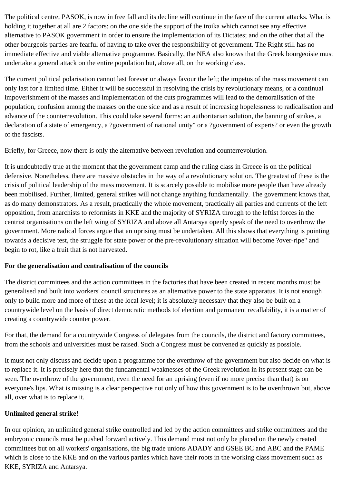The political centre, PASOK, is now in free fall and its decline will continue in the face of the current attacks. What is holding it together at all are 2 factors: on the one side the support of the troika which cannot see any effective alternative to PASOK government in order to ensure the implementation of its Dictates; and on the other that all the other bourgeois parties are fearful of having to take over the responsibility of government. The Right still has no immediate effective and viable alternative programme. Basically, the NEA also knows that the Greek bourgeoisie must undertake a general attack on the entire population but, above all, on the working class.

The current political polarisation cannot last forever or always favour the left; the impetus of the mass movement can only last for a limited time. Either it will be successful in resolving the crisis by revolutionary means, or a continual impoverishment of the masses and implementation of the cuts programmes will lead to the demoralisation of the population, confusion among the masses on the one side and as a result of increasing hopelessness to radicalisation and advance of the counterrevolution. This could take several forms: an authoritarian solution, the banning of strikes, a declaration of a state of emergency, a ?government of national unity" or a ?government of experts? or even the growth of the fascists.

Briefly, for Greece, now there is only the alternative between revolution and counterrevolution.

It is undoubtedly true at the moment that the government camp and the ruling class in Greece is on the political defensive. Nonetheless, there are massive obstacles in the way of a revolutionary solution. The greatest of these is the crisis of political leadership of the mass movement. It is scarcely possible to mobilise more people than have already been mobilised. Further, limited, general strikes will not change anything fundamentally. The government knows that, as do many demonstrators. As a result, practically the whole movement, practically all parties and currents of the left opposition, from anarchists to reformists in KKE and the majority of SYRIZA through to the leftist forces in the centrist organisations on the left wing of SYRIZA and above all Antarsya openly speak of the need to overthrow the government. More radical forces argue that an uprising must be undertaken. All this shows that everything is pointing towards a decisive test, the struggle for state power or the pre-revolutionary situation will become ?over-ripe" and begin to rot, like a fruit that is not harvested.

#### **For the generalisation and centralisation of the councils**

The district committees and the action committees in the factories that have been created in recent months must be generalised and built into workers' council structures as an alternative power to the state apparatus. It is not enough only to build more and more of these at the local level; it is absolutely necessary that they also be built on a countrywide level on the basis of direct democratic methods tof election and permanent recallability, it is a matter of creating a countrywide counter power.

For that, the demand for a countrywide Congress of delegates from the councils, the district and factory committees, from the schools and universities must be raised. Such a Congress must be convened as quickly as possible.

It must not only discuss and decide upon a programme for the overthrow of the government but also decide on what is to replace it. It is precisely here that the fundamental weaknesses of the Greek revolution in its present stage can be seen. The overthrow of the government, even the need for an uprising (even if no more precise than that) is on everyone's lips. What is missing is a clear perspective not only of how this government is to be overthrown but, above all, over what is to replace it.

## **Unlimited general strike!**

In our opinion, an unlimited general strike controlled and led by the action committees and strike committees and the embryonic councils must be pushed forward actively. This demand must not only be placed on the newly created committees but on all workers' organisations, the big trade unions ADADY and GSEE BC and ABC and the PAME which is close to the KKE and on the various parties which have their roots in the working class movement such as KKE, SYRIZA and Antarsya.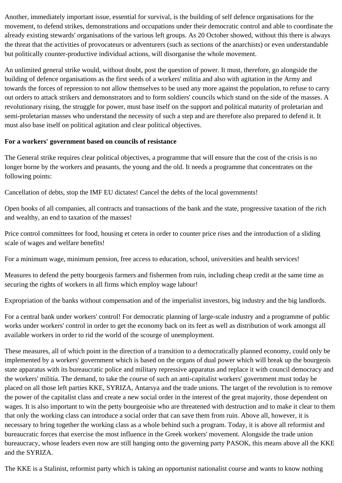Another, immediately important issue, essential for survival, is the building of self defence organisations for the movement, to defend strikes, demonstrations and occupations under their democratic control and able to coordinate the already existing stewards' organisations of the various left groups. As 20 October showed, without this there is always the threat that the activities of provocateurs or adventurers (such as sections of the anarchists) or even understandable but politically counter-productive individual actions, will disorganise the whole movement.

An unlimited general strike would, without doubt, post the question of power. It must, therefore, go alongside the building of defence organisations as the first seeds of a workers' militia and also with agitation in the Army and towards the forces of repression to not allow themselves to be used any more against the population, to refuse to carry out orders to attack strikers and demonstrators and to form soldiers' councils which stand on the side of the masses. A revolutionary rising, the struggle for power, must base itself on the support and political maturity of proletarian and semi-proletarian masses who understand the necessity of such a step and are therefore also prepared to defend it. It must also base itself on political agitation and clear political objectives.

#### **For a workers' government based on councils of resistance**

The General strike requires clear political objectives, a programme that will ensure that the cost of the crisis is no longer borne by the workers and peasants, the young and the old. It needs a programme that concentrates on the following points:

Cancellation of debts, stop the IMF EU dictates! Cancel the debts of the local governments!

Open books of all companies, all contracts and transactions of the bank and the state, progressive taxation of the rich and wealthy, an end to taxation of the masses!

Price control committees for food, housing et cetera in order to counter price rises and the introduction of a sliding scale of wages and welfare benefits!

For a minimum wage, minimum pension, free access to education, school, universities and health services!

Measures to defend the petty bourgeois farmers and fishermen from ruin, including cheap credit at the same time as securing the rights of workers in all firms which employ wage labour!

Expropriation of the banks without compensation and of the imperialist investors, big industry and the big landlords.

For a central bank under workers' control! For democratic planning of large-scale industry and a programme of public works under workers' control in order to get the economy back on its feet as well as distribution of work amongst all available workers in order to rid the world of the scourge of unemployment.

These measures, all of which point in the direction of a transition to a democratically planned economy, could only be implemented by a workers' government which is based on the organs of dual power which will break up the bourgeois state apparatus with its bureaucratic police and military repressive apparatus and replace it with council democracy and the workers' militia. The demand, to take the course of such an anti-capitalist workers' government must today be placed on all those left parties KKE, SYRIZA, Antarsya and the trade unions. The target of the revolution is to remove the power of the capitalist class and create a new social order in the interest of the great majority, those dependent on wages. It is also important to win the petty bourgeoisie who are threatened with destruction and to make it clear to them that only the working class can introduce a social order that can save them from ruin. Above all, however, it is necessary to bring together the working class as a whole behind such a program. Today, it is above all reformist and bureaucratic forces that exercise the most influence in the Greek workers' movement. Alongside the trade union bureaucracy, whose leaders even now are still hanging onto the governing party PASOK, this means above all the KKE and the SYRIZA.

The KKE is a Stalinist, reformist party which is taking an opportunist nationalist course and wants to know nothing